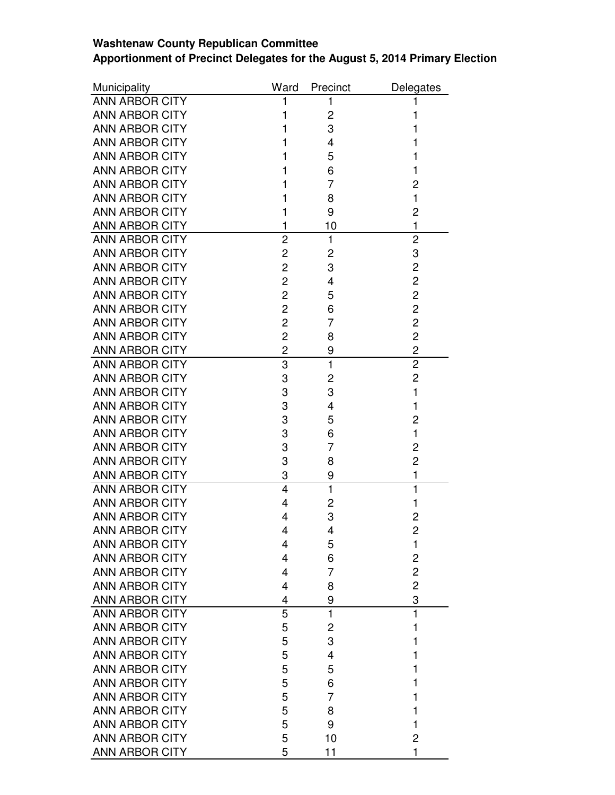## **Washtenaw County Republican Committee Apportionment of Precinct Delegates for the August 5, 2014 Primary Election**

| Municipality          | Ward           | Precinct     | Delegates      |
|-----------------------|----------------|--------------|----------------|
| <b>ANN ARBOR CITY</b> | 1              | 1            | 1              |
| <b>ANN ARBOR CITY</b> | 1              | 2            | 1              |
| <b>ANN ARBOR CITY</b> |                | 3            | 1              |
| <b>ANN ARBOR CITY</b> |                | 4            | 1              |
| <b>ANN ARBOR CITY</b> |                | 5            | 1              |
| <b>ANN ARBOR CITY</b> |                | 6            | 1              |
| ANN ARBOR CITY        |                | 7            | $\overline{2}$ |
| <b>ANN ARBOR CITY</b> |                | 8            | $\mathbf{1}$   |
| <b>ANN ARBOR CITY</b> | 1              | 9            | $\overline{2}$ |
| <b>ANN ARBOR CITY</b> | 1              | 10           | $\mathbf{1}$   |
| <b>ANN ARBOR CITY</b> | $\overline{2}$ | $\mathbf{1}$ | $\overline{2}$ |
| <b>ANN ARBOR CITY</b> | 2              | 2            | 3              |
| <b>ANN ARBOR CITY</b> | 2              | 3            | $\overline{c}$ |
| <b>ANN ARBOR CITY</b> | $\overline{c}$ | 4            | $\overline{2}$ |
| <b>ANN ARBOR CITY</b> | 2              | 5            | $\overline{c}$ |
| <b>ANN ARBOR CITY</b> | 2              | 6            | $\overline{2}$ |
| <b>ANN ARBOR CITY</b> | 2              | 7            | $\overline{c}$ |
| <b>ANN ARBOR CITY</b> | 2              | 8            | $\overline{c}$ |
| <b>ANN ARBOR CITY</b> | 2              | 9            | $\overline{c}$ |
| <b>ANN ARBOR CITY</b> | 3              | $\mathbf{1}$ | $\overline{2}$ |
| <b>ANN ARBOR CITY</b> | 3              | 2            | $\overline{2}$ |
| <b>ANN ARBOR CITY</b> | 3              | 3            | $\mathbf{1}$   |
| <b>ANN ARBOR CITY</b> | 3              | 4            | 1              |
| <b>ANN ARBOR CITY</b> | 3              | 5            | $\overline{2}$ |
| <b>ANN ARBOR CITY</b> | 3              | 6            | $\mathbf{1}$   |
| <b>ANN ARBOR CITY</b> | 3              | 7            | 2              |
| <b>ANN ARBOR CITY</b> | 3              | 8            | $\overline{2}$ |
| <b>ANN ARBOR CITY</b> | 3              | 9            | 1              |
| <b>ANN ARBOR CITY</b> | $\overline{4}$ | $\mathbf{1}$ | $\mathbf{1}$   |
| ANN ARBOR CITY        | 4              | 2            | 1              |
| <b>ANN ARBOR CITY</b> | 4              | 3            | 2              |
| <b>ANN ARBOR CITY</b> | Δ              | Δ            | $\overline{c}$ |
| <b>ANN ARBOR CITY</b> | 4              | 5            | $\mathbf{1}$   |
| <b>ANN ARBOR CITY</b> | 4              | 6            | $\overline{2}$ |
| <b>ANN ARBOR CITY</b> | 4              | 7            | $\overline{c}$ |
| <b>ANN ARBOR CITY</b> | 4              | 8            | $\overline{2}$ |
| <b>ANN ARBOR CITY</b> | 4              | 9            | 3              |
| <b>ANN ARBOR CITY</b> | 5              | $\mathbf{1}$ | 1              |
| <b>ANN ARBOR CITY</b> | 5              | 2            | 1              |
| <b>ANN ARBOR CITY</b> | 5              | 3            | 1              |
| <b>ANN ARBOR CITY</b> | 5              | 4            | 1              |
| <b>ANN ARBOR CITY</b> | 5              | 5            | 1              |
| <b>ANN ARBOR CITY</b> | 5              | 6            | 1              |
| <b>ANN ARBOR CITY</b> | 5              | 7            | 1              |
| <b>ANN ARBOR CITY</b> | 5              | 8            | 1              |
| <b>ANN ARBOR CITY</b> | 5              | 9            | 1              |
| <b>ANN ARBOR CITY</b> | 5              | 10           | 2              |
| <b>ANN ARBOR CITY</b> | 5              | 11           | 1              |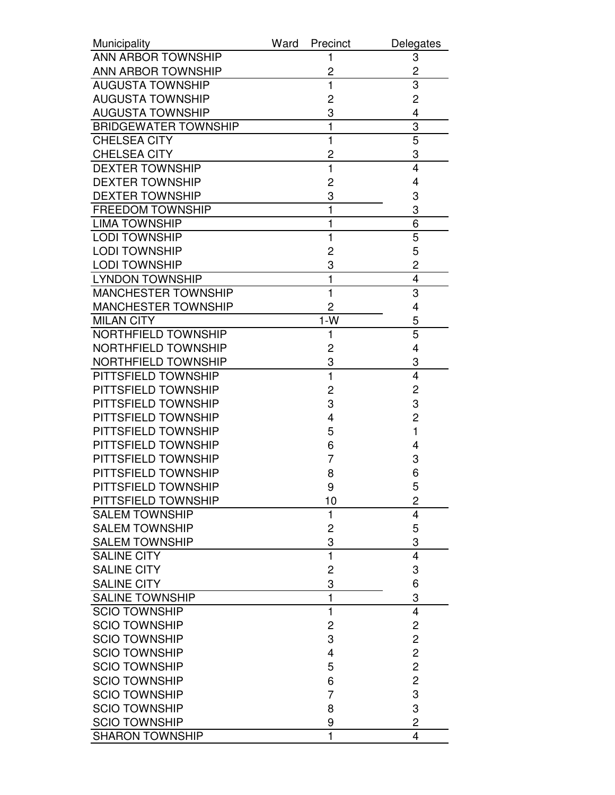| Municipality                | Ward<br>Precinct | Delegates               |
|-----------------------------|------------------|-------------------------|
| <b>ANN ARBOR TOWNSHIP</b>   |                  | 3                       |
| <b>ANN ARBOR TOWNSHIP</b>   | 2                | 2                       |
| <b>AUGUSTA TOWNSHIP</b>     | $\mathbf{1}$     | 3                       |
| <b>AUGUSTA TOWNSHIP</b>     | 2                | $\overline{c}$          |
| <b>AUGUSTA TOWNSHIP</b>     | 3                | 4                       |
| <b>BRIDGEWATER TOWNSHIP</b> | 1                | 3                       |
| <b>CHELSEA CITY</b>         | $\mathbf{1}$     | 5                       |
| <b>CHELSEA CITY</b>         | 2                | 3                       |
| <b>DEXTER TOWNSHIP</b>      | $\mathbf{1}$     | $\overline{\mathbf{4}}$ |
| <b>DEXTER TOWNSHIP</b>      | 2                | 4                       |
| <b>DEXTER TOWNSHIP</b>      | 3                | 3                       |
| <b>FREEDOM TOWNSHIP</b>     | 1                | 3                       |
| <b>LIMA TOWNSHIP</b>        | $\mathbf{1}$     | 6                       |
| <b>LODI TOWNSHIP</b>        | 1                | 5                       |
| <b>LODI TOWNSHIP</b>        | 2                | 5                       |
| <b>LODI TOWNSHIP</b>        | 3                | 2                       |
| <b>LYNDON TOWNSHIP</b>      | 1                | 4                       |
| <b>MANCHESTER TOWNSHIP</b>  | $\mathbf{1}$     | 3                       |
| <b>MANCHESTER TOWNSHIP</b>  | 2                | 4                       |
| <b>MILAN CITY</b>           | $1-W$            | 5                       |
| NORTHFIELD TOWNSHIP         | 1                | 5                       |
| <b>NORTHFIELD TOWNSHIP</b>  | 2                | 4                       |
| <b>NORTHFIELD TOWNSHIP</b>  | 3                | 3                       |
| PITTSFIELD TOWNSHIP         | $\mathbf{1}$     | $\overline{4}$          |
| PITTSFIELD TOWNSHIP         | 2                | $\overline{c}$          |
| PITTSFIELD TOWNSHIP         | 3                | 3                       |
| PITTSFIELD TOWNSHIP         | 4                | $\overline{2}$          |
| PITTSFIELD TOWNSHIP         | 5                | 1                       |
| PITTSFIELD TOWNSHIP         | 6                | 4                       |
| PITTSFIELD TOWNSHIP         | 7                | 3                       |
| PITTSFIELD TOWNSHIP         | 8                | 6                       |
| PITTSFIELD TOWNSHIP         | 9                | 5                       |
| PITTSFIELD TOWNSHIP         | 10               | 2                       |
| <b>SALEM TOWNSHIP</b>       | $\mathbf{1}$     | $\overline{4}$          |
| <b>SALEM TOWNSHIP</b>       | $\overline{c}$   | 5                       |
| <b>SALEM TOWNSHIP</b>       | 3                | 3                       |
| <b>SALINE CITY</b>          | $\mathbf{1}$     | 4                       |
| <b>SALINE CITY</b>          | 2                | 3                       |
| <b>SALINE CITY</b>          | 3                | 6                       |
| <b>SALINE TOWNSHIP</b>      | $\mathbf{1}$     | 3                       |
| <b>SCIO TOWNSHIP</b>        | 1                | $\overline{4}$          |
| <b>SCIO TOWNSHIP</b>        | 2                | $\overline{\mathbf{c}}$ |
| <b>SCIO TOWNSHIP</b>        | 3                | $\overline{c}$          |
| <b>SCIO TOWNSHIP</b>        | 4                | $\overline{c}$          |
| <b>SCIO TOWNSHIP</b>        | 5                | $\overline{c}$          |
| <b>SCIO TOWNSHIP</b>        | 6                | $\overline{c}$          |
| <b>SCIO TOWNSHIP</b>        | $\overline{7}$   | 3                       |
| <b>SCIO TOWNSHIP</b>        | 8                | 3                       |
| <b>SCIO TOWNSHIP</b>        | 9                | $\overline{2}$          |
| <b>SHARON TOWNSHIP</b>      | $\mathbf{1}$     | 4                       |